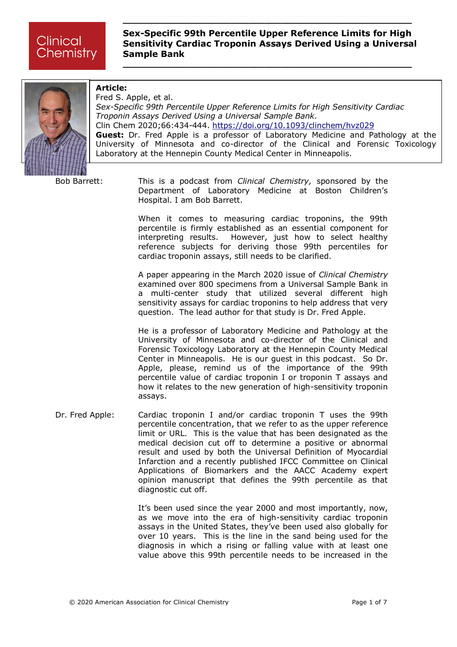**\_\_\_\_\_\_\_\_\_\_\_\_\_\_\_\_\_\_\_\_\_\_\_\_\_\_\_\_\_\_\_\_\_\_\_\_\_\_\_\_\_\_\_\_\_\_\_\_\_\_\_\_\_**

**\_\_\_\_\_\_\_\_\_\_\_\_\_\_\_\_\_\_\_\_\_\_\_\_\_\_\_\_\_\_\_\_\_\_\_\_\_\_\_\_\_\_\_\_\_\_\_\_\_\_\_\_\_**



## **Article:**

Fred S. Apple, et al. *Sex-Specific 99th Percentile Upper Reference Limits for High Sensitivity Cardiac Troponin Assays Derived Using a Universal Sample Bank.* Clin Chem 2020;66:434-444. <https://doi.org/10.1093/clinchem/hvz029> **Guest:** Dr. Fred Apple is a professor of Laboratory Medicine and Pathology at the University of Minnesota and co-director of the Clinical and Forensic Toxicology Laboratory at the Hennepin County Medical Center in Minneapolis.

Bob Barrett: This is a podcast from *Clinical Chemistry,* sponsored by the Department of Laboratory Medicine at Boston Children's Hospital. I am Bob Barrett.

> When it comes to measuring cardiac troponins, the 99th percentile is firmly established as an essential component for interpreting results. However, just how to select healthy reference subjects for deriving those 99th percentiles for cardiac troponin assays, still needs to be clarified.

> A paper appearing in the March 2020 issue of *Clinical Chemistry* examined over 800 specimens from a Universal Sample Bank in a multi-center study that utilized several different high sensitivity assays for cardiac troponins to help address that very question. The lead author for that study is Dr. Fred Apple.

> He is a professor of Laboratory Medicine and Pathology at the University of Minnesota and co-director of the Clinical and Forensic Toxicology Laboratory at the Hennepin County Medical Center in Minneapolis. He is our guest in this podcast. So Dr. Apple, please, remind us of the importance of the 99th percentile value of cardiac troponin I or troponin T assays and how it relates to the new generation of high-sensitivity troponin assays.

Dr. Fred Apple: Cardiac troponin I and/or cardiac troponin T uses the 99th percentile concentration, that we refer to as the upper reference limit or URL. This is the value that has been designated as the medical decision cut off to determine a positive or abnormal result and used by both the Universal Definition of Myocardial Infarction and a recently published IFCC Committee on Clinical Applications of Biomarkers and the AACC Academy expert opinion manuscript that defines the 99th percentile as that diagnostic cut off.

> It's been used since the year 2000 and most importantly, now, as we move into the era of high-sensitivity cardiac troponin assays in the United States, they've been used also globally for over 10 years. This is the line in the sand being used for the diagnosis in which a rising or falling value with at least one value above this 99th percentile needs to be increased in the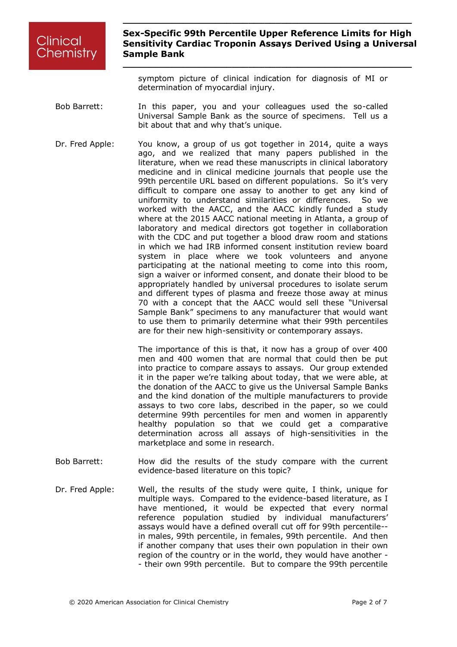**\_\_\_\_\_\_\_\_\_\_\_\_\_\_\_\_\_\_\_\_\_\_\_\_\_\_\_\_\_\_\_\_\_\_\_\_\_\_\_\_\_\_\_\_\_\_\_\_\_\_\_\_\_**

symptom picture of clinical indication for diagnosis of MI or determination of myocardial injury.

**\_\_\_\_\_\_\_\_\_\_\_\_\_\_\_\_\_\_\_\_\_\_\_\_\_\_\_\_\_\_\_\_\_\_\_\_\_\_\_\_\_\_\_\_\_\_\_\_\_\_\_\_\_**

- Bob Barrett: In this paper, you and your colleagues used the so-called Universal Sample Bank as the source of specimens. Tell us a bit about that and why that's unique.
- Dr. Fred Apple: You know, a group of us got together in 2014, quite a ways ago, and we realized that many papers published in the literature, when we read these manuscripts in clinical laboratory medicine and in clinical medicine journals that people use the 99th percentile URL based on different populations. So it's very difficult to compare one assay to another to get any kind of uniformity to understand similarities or differences. So we worked with the AACC, and the AACC kindly funded a study where at the 2015 AACC national meeting in Atlanta, a group of laboratory and medical directors got together in collaboration with the CDC and put together a blood draw room and stations in which we had IRB informed consent institution review board system in place where we took volunteers and anyone participating at the national meeting to come into this room, sign a waiver or informed consent, and donate their blood to be appropriately handled by universal procedures to isolate serum and different types of plasma and freeze those away at minus 70 with a concept that the AACC would sell these "Universal Sample Bank" specimens to any manufacturer that would want to use them to primarily determine what their 99th percentiles are for their new high-sensitivity or contemporary assays.

The importance of this is that, it now has a group of over 400 men and 400 women that are normal that could then be put into practice to compare assays to assays. Our group extended it in the paper we're talking about today, that we were able, at the donation of the AACC to give us the Universal Sample Banks and the kind donation of the multiple manufacturers to provide assays to two core labs, described in the paper, so we could determine 99th percentiles for men and women in apparently healthy population so that we could get a comparative determination across all assays of high-sensitivities in the marketplace and some in research.

- Bob Barrett: How did the results of the study compare with the current evidence-based literature on this topic?
- Dr. Fred Apple: Well, the results of the study were quite, I think, unique for multiple ways. Compared to the evidence-based literature, as I have mentioned, it would be expected that every normal reference population studied by individual manufacturers' assays would have a defined overall cut off for 99th percentile- in males, 99th percentile, in females, 99th percentile. And then if another company that uses their own population in their own region of the country or in the world, they would have another - - their own 99th percentile. But to compare the 99th percentile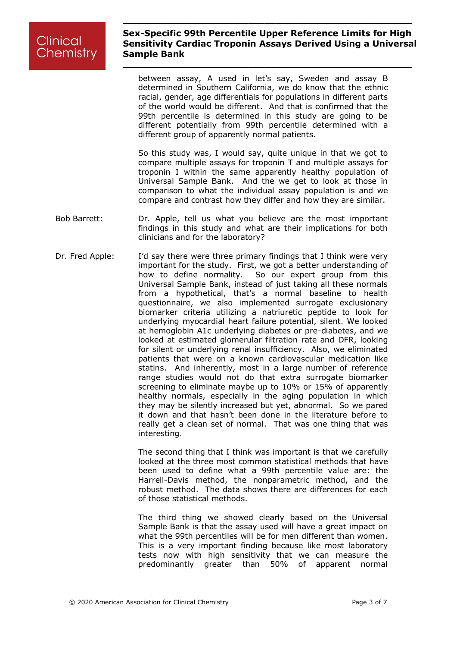**\_\_\_\_\_\_\_\_\_\_\_\_\_\_\_\_\_\_\_\_\_\_\_\_\_\_\_\_\_\_\_\_\_\_\_\_\_\_\_\_\_\_\_\_\_\_\_\_\_\_\_\_\_**

**\_\_\_\_\_\_\_\_\_\_\_\_\_\_\_\_\_\_\_\_\_\_\_\_\_\_\_\_\_\_\_\_\_\_\_\_\_\_\_\_\_\_\_\_\_\_\_\_\_\_\_\_\_**

between assay, A used in let's say, Sweden and assay B determined in Southern California, we do know that the ethnic racial, gender, age differentials for populations in different parts of the world would be different. And that is confirmed that the 99th percentile is determined in this study are going to be different potentially from 99th percentile determined with a different group of apparently normal patients.

So this study was, I would say, quite unique in that we got to compare multiple assays for troponin T and multiple assays for troponin I within the same apparently healthy population of Universal Sample Bank. And the we get to look at those in comparison to what the individual assay population is and we compare and contrast how they differ and how they are similar.

- Bob Barrett: Dr. Apple, tell us what you believe are the most important findings in this study and what are their implications for both clinicians and for the laboratory?
- Dr. Fred Apple: I'd say there were three primary findings that I think were very important for the study. First, we got a better understanding of how to define normality. So our expert group from this Universal Sample Bank, instead of just taking all these normals from a hypothetical, that's a normal baseline to health questionnaire, we also implemented surrogate exclusionary biomarker criteria utilizing a natriuretic peptide to look for underlying myocardial heart failure potential, silent. We looked at hemoglobin A1c underlying diabetes or pre-diabetes, and we looked at estimated glomerular filtration rate and DFR, looking for silent or underlying renal insufficiency. Also, we eliminated patients that were on a known cardiovascular medication like statins. And inherently, most in a large number of reference range studies would not do that extra surrogate biomarker screening to eliminate maybe up to 10% or 15% of apparently healthy normals, especially in the aging population in which they may be silently increased but yet, abnormal. So we pared it down and that hasn't been done in the literature before to really get a clean set of normal. That was one thing that was interesting.

The second thing that I think was important is that we carefully looked at the three most common statistical methods that have been used to define what a 99th percentile value are: the Harrell-Davis method, the nonparametric method, and the robust method. The data shows there are differences for each of those statistical methods.

The third thing we showed clearly based on the Universal Sample Bank is that the assay used will have a great impact on what the 99th percentiles will be for men different than women. This is a very important finding because like most laboratory tests now with high sensitivity that we can measure the predominantly greater than 50% of apparent normal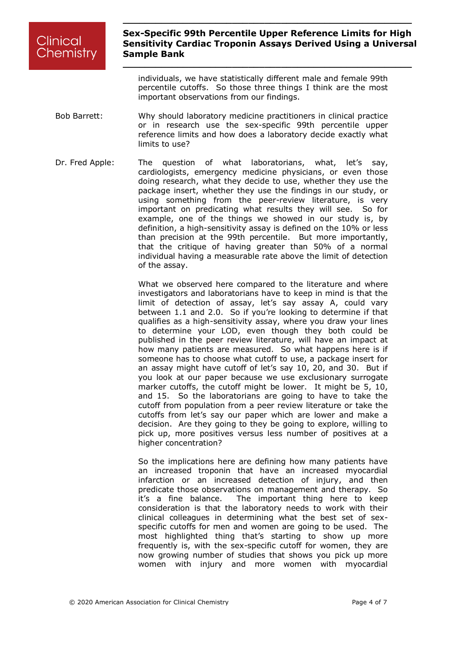**\_\_\_\_\_\_\_\_\_\_\_\_\_\_\_\_\_\_\_\_\_\_\_\_\_\_\_\_\_\_\_\_\_\_\_\_\_\_\_\_\_\_\_\_\_\_\_\_\_\_\_\_\_**

**\_\_\_\_\_\_\_\_\_\_\_\_\_\_\_\_\_\_\_\_\_\_\_\_\_\_\_\_\_\_\_\_\_\_\_\_\_\_\_\_\_\_\_\_\_\_\_\_\_\_\_\_\_**

individuals, we have statistically different male and female 99th percentile cutoffs. So those three things I think are the most important observations from our findings.

- Bob Barrett: Why should laboratory medicine practitioners in clinical practice or in research use the sex-specific 99th percentile upper reference limits and how does a laboratory decide exactly what limits to use?
- Dr. Fred Apple: The question of what laboratorians, what, let's say, cardiologists, emergency medicine physicians, or even those doing research, what they decide to use, whether they use the package insert, whether they use the findings in our study, or using something from the peer-review literature, is very important on predicating what results they will see. So for example, one of the things we showed in our study is, by definition, a high-sensitivity assay is defined on the 10% or less than precision at the 99th percentile. But more importantly, that the critique of having greater than 50% of a normal individual having a measurable rate above the limit of detection of the assay.

What we observed here compared to the literature and where investigators and laboratorians have to keep in mind is that the limit of detection of assay, let's say assay A, could vary between 1.1 and 2.0. So if you're looking to determine if that qualifies as a high-sensitivity assay, where you draw your lines to determine your LOD, even though they both could be published in the peer review literature, will have an impact at how many patients are measured. So what happens here is if someone has to choose what cutoff to use, a package insert for an assay might have cutoff of let's say 10, 20, and 30. But if you look at our paper because we use exclusionary surrogate marker cutoffs, the cutoff might be lower. It might be 5, 10, and 15. So the laboratorians are going to have to take the cutoff from population from a peer review literature or take the cutoffs from let's say our paper which are lower and make a decision. Are they going to they be going to explore, willing to pick up, more positives versus less number of positives at a higher concentration?

So the implications here are defining how many patients have an increased troponin that have an increased myocardial infarction or an increased detection of injury, and then predicate those observations on management and therapy. So it's a fine balance. The important thing here to keep consideration is that the laboratory needs to work with their clinical colleagues in determining what the best set of sexspecific cutoffs for men and women are going to be used. The most highlighted thing that's starting to show up more frequently is, with the sex-specific cutoff for women, they are now growing number of studies that shows you pick up more women with injury and more women with myocardial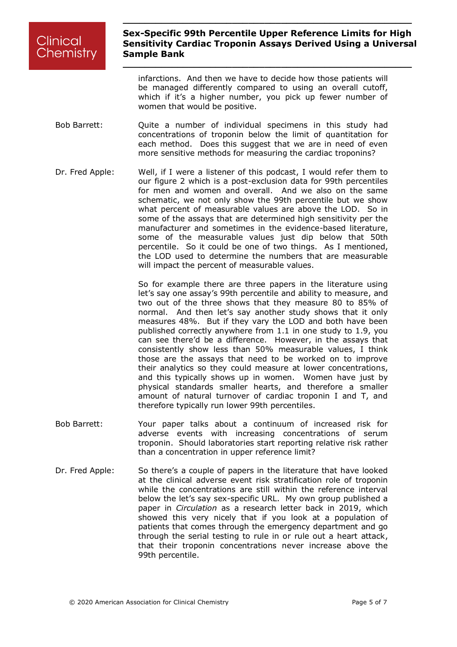**\_\_\_\_\_\_\_\_\_\_\_\_\_\_\_\_\_\_\_\_\_\_\_\_\_\_\_\_\_\_\_\_\_\_\_\_\_\_\_\_\_\_\_\_\_\_\_\_\_\_\_\_\_**

**\_\_\_\_\_\_\_\_\_\_\_\_\_\_\_\_\_\_\_\_\_\_\_\_\_\_\_\_\_\_\_\_\_\_\_\_\_\_\_\_\_\_\_\_\_\_\_\_\_\_\_\_\_**

infarctions. And then we have to decide how those patients will be managed differently compared to using an overall cutoff, which if it's a higher number, you pick up fewer number of women that would be positive.

- Bob Barrett: Cuite a number of individual specimens in this study had concentrations of troponin below the limit of quantitation for each method. Does this suggest that we are in need of even more sensitive methods for measuring the cardiac troponins?
- Dr. Fred Apple: Well, if I were a listener of this podcast, I would refer them to our figure 2 which is a post-exclusion data for 99th percentiles for men and women and overall. And we also on the same schematic, we not only show the 99th percentile but we show what percent of measurable values are above the LOD. So in some of the assays that are determined high sensitivity per the manufacturer and sometimes in the evidence-based literature, some of the measurable values just dip below that 50th percentile. So it could be one of two things. As I mentioned, the LOD used to determine the numbers that are measurable will impact the percent of measurable values.

So for example there are three papers in the literature using let's say one assay's 99th percentile and ability to measure, and two out of the three shows that they measure 80 to 85% of normal. And then let's say another study shows that it only measures 48%. But if they vary the LOD and both have been published correctly anywhere from 1.1 in one study to 1.9, you can see there'd be a difference. However, in the assays that consistently show less than 50% measurable values, I think those are the assays that need to be worked on to improve their analytics so they could measure at lower concentrations, and this typically shows up in women. Women have just by physical standards smaller hearts, and therefore a smaller amount of natural turnover of cardiac troponin I and T, and therefore typically run lower 99th percentiles.

- Bob Barrett: Your paper talks about a continuum of increased risk for adverse events with increasing concentrations of serum troponin. Should laboratories start reporting relative risk rather than a concentration in upper reference limit?
- Dr. Fred Apple: So there's a couple of papers in the literature that have looked at the clinical adverse event risk stratification role of troponin while the concentrations are still within the reference interval below the let's say sex-specific URL. My own group published a paper in *Circulation* as a research letter back in 2019, which showed this very nicely that if you look at a population of patients that comes through the emergency department and go through the serial testing to rule in or rule out a heart attack, that their troponin concentrations never increase above the 99th percentile.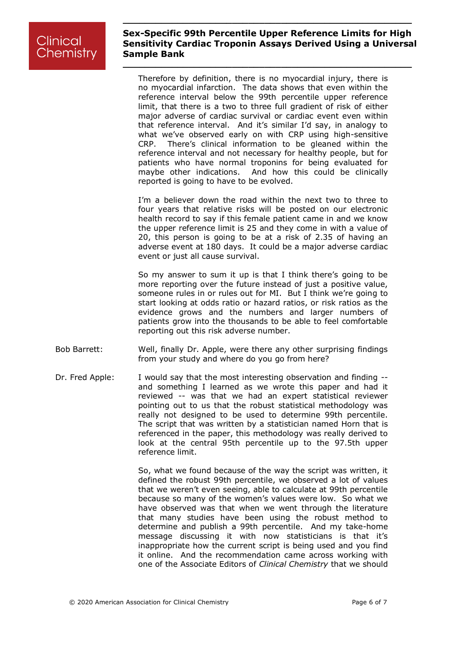**\_\_\_\_\_\_\_\_\_\_\_\_\_\_\_\_\_\_\_\_\_\_\_\_\_\_\_\_\_\_\_\_\_\_\_\_\_\_\_\_\_\_\_\_\_\_\_\_\_\_\_\_\_**

**\_\_\_\_\_\_\_\_\_\_\_\_\_\_\_\_\_\_\_\_\_\_\_\_\_\_\_\_\_\_\_\_\_\_\_\_\_\_\_\_\_\_\_\_\_\_\_\_\_\_\_\_\_**

Therefore by definition, there is no myocardial injury, there is no myocardial infarction. The data shows that even within the reference interval below the 99th percentile upper reference limit, that there is a two to three full gradient of risk of either major adverse of cardiac survival or cardiac event even within that reference interval. And it's similar I'd say, in analogy to what we've observed early on with CRP using high-sensitive CRP. There's clinical information to be gleaned within the reference interval and not necessary for healthy people, but for patients who have normal troponins for being evaluated for maybe other indications. And how this could be clinically reported is going to have to be evolved.

I'm a believer down the road within the next two to three to four years that relative risks will be posted on our electronic health record to say if this female patient came in and we know the upper reference limit is 25 and they come in with a value of 20, this person is going to be at a risk of 2.35 of having an adverse event at 180 days. It could be a major adverse cardiac event or just all cause survival.

So my answer to sum it up is that I think there's going to be more reporting over the future instead of just a positive value, someone rules in or rules out for MI. But I think we're going to start looking at odds ratio or hazard ratios, or risk ratios as the evidence grows and the numbers and larger numbers of patients grow into the thousands to be able to feel comfortable reporting out this risk adverse number.

- Bob Barrett: Well, finally Dr. Apple, were there any other surprising findings from your study and where do you go from here?
- Dr. Fred Apple: I would say that the most interesting observation and finding -and something I learned as we wrote this paper and had it reviewed -- was that we had an expert statistical reviewer pointing out to us that the robust statistical methodology was really not designed to be used to determine 99th percentile. The script that was written by a statistician named Horn that is referenced in the paper, this methodology was really derived to look at the central 95th percentile up to the 97.5th upper reference limit.

So, what we found because of the way the script was written, it defined the robust 99th percentile, we observed a lot of values that we weren't even seeing, able to calculate at 99th percentile because so many of the women's values were low. So what we have observed was that when we went through the literature that many studies have been using the robust method to determine and publish a 99th percentile. And my take-home message discussing it with now statisticians is that it's inappropriate how the current script is being used and you find it online. And the recommendation came across working with one of the Associate Editors of *Clinical Chemistry* that we should